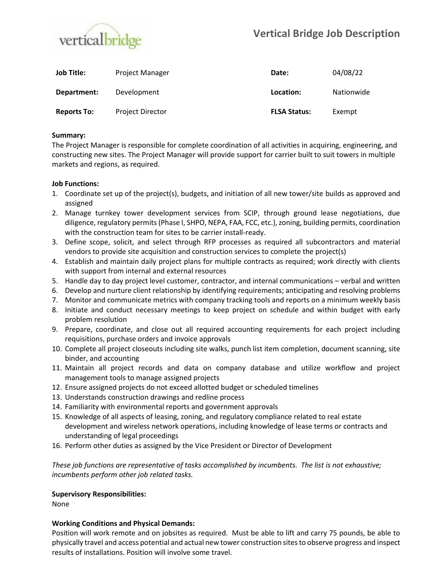

| Job Title:         | <b>Project Manager</b>  | Date:               | 04/08/22   |
|--------------------|-------------------------|---------------------|------------|
| Department:        | Development             | Location:           | Nationwide |
| <b>Reports To:</b> | <b>Project Director</b> | <b>FLSA Status:</b> | Exempt     |

### **Summary:**

The Project Manager is responsible for complete coordination of all activities in acquiring, engineering, and constructing new sites. The Project Manager will provide support for carrier built to suit towers in multiple markets and regions, as required.

#### **Job Functions:**

- 1. Coordinate set up of the project(s), budgets, and initiation of all new tower/site builds as approved and assigned
- 2. Manage turnkey tower development services from SCIP, through ground lease negotiations, due diligence, regulatory permits (Phase I, SHPO, NEPA, FAA, FCC, etc.), zoning, building permits, coordination with the construction team for sites to be carrier install-ready.
- 3. Define scope, solicit, and select through RFP processes as required all subcontractors and material vendors to provide site acquisition and construction services to complete the project(s)
- 4. Establish and maintain daily project plans for multiple contracts as required; work directly with clients with support from internal and external resources
- 5. Handle day to day project level customer, contractor, and internal communications verbal and written
- 6. Develop and nurture client relationship by identifying requirements; anticipating and resolving problems
- 7. Monitor and communicate metrics with company tracking tools and reports on a minimum weekly basis
- 8. Initiate and conduct necessary meetings to keep project on schedule and within budget with early problem resolution
- 9. Prepare, coordinate, and close out all required accounting requirements for each project including requisitions, purchase orders and invoice approvals
- 10. Complete all project closeouts including site walks, punch list item completion, document scanning, site binder, and accounting
- 11. Maintain all project records and data on company database and utilize workflow and project management tools to manage assigned projects
- 12. Ensure assigned projects do not exceed allotted budget or scheduled timelines
- 13. Understands construction drawings and redline process
- 14. Familiarity with environmental reports and government approvals
- 15. Knowledge of all aspects of leasing, zoning, and regulatory compliance related to real estate development and wireless network operations, including knowledge of lease terms or contracts and understanding of legal proceedings
- 16. Perform other duties as assigned by the Vice President or Director of Development

*These job functions are representative of tasks accomplished by incumbents. The list is not exhaustive; incumbents perform other job related tasks.*

## **Supervisory Responsibilities:**

None

## **Working Conditions and Physical Demands:**

Position will work remote and on jobsites as required. Must be able to lift and carry 75 pounds, be able to physically travel and access potential and actual new tower construction sites to observe progress and inspect results of installations. Position will involve some travel.